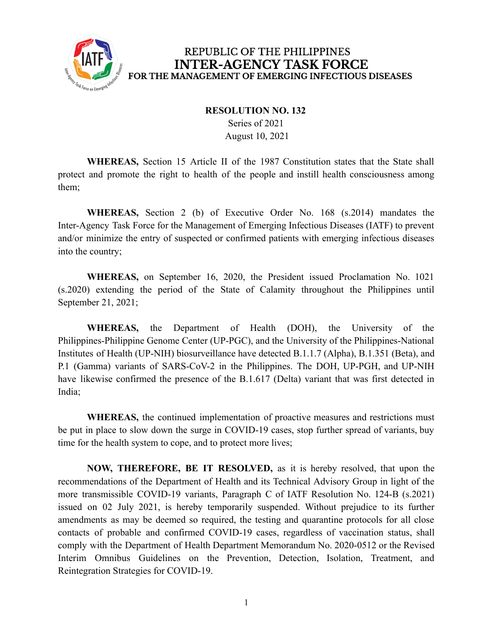

## REPUBLIC OF THE PHILIPPINES **INTER-AGENCY TASK FORCE** FOR THE MANAGEMENT OF EMERGING INFECTIOUS DISEASES

## **RESOLUTION NO. 132**

Series of 2021 August 10, 2021

**WHEREAS,** Section 15 Article II of the 1987 Constitution states that the State shall protect and promote the right to health of the people and instill health consciousness among them;

**WHEREAS,** Section 2 (b) of Executive Order No. 168 (s.2014) mandates the Inter-Agency Task Force for the Management of Emerging Infectious Diseases (IATF) to prevent and/or minimize the entry of suspected or confirmed patients with emerging infectious diseases into the country;

**WHEREAS,** on September 16, 2020, the President issued Proclamation No. 1021 (s.2020) extending the period of the State of Calamity throughout the Philippines until September 21, 2021;

**WHEREAS,** the Department of Health (DOH), the University of the Philippines-Philippine Genome Center (UP-PGC), and the University of the Philippines-National Institutes of Health (UP-NIH) biosurveillance have detected B.1.1.7 (Alpha), B.1.351 (Beta), and P.1 (Gamma) variants of SARS-CoV-2 in the Philippines. The DOH, UP-PGH, and UP-NIH have likewise confirmed the presence of the B.1.617 (Delta) variant that was first detected in India;

**WHEREAS,** the continued implementation of proactive measures and restrictions must be put in place to slow down the surge in COVID-19 cases, stop further spread of variants, buy time for the health system to cope, and to protect more lives;

**NOW, THEREFORE, BE IT RESOLVED,** as it is hereby resolved, that upon the recommendations of the Department of Health and its Technical Advisory Group in light of the more transmissible COVID-19 variants, Paragraph C of IATF Resolution No. 124-B (s.2021) issued on 02 July 2021, is hereby temporarily suspended. Without prejudice to its further amendments as may be deemed so required, the testing and quarantine protocols for all close contacts of probable and confirmed COVID-19 cases, regardless of vaccination status, shall comply with the Department of Health Department Memorandum No. 2020-0512 or the Revised Interim Omnibus Guidelines on the Prevention, Detection, Isolation, Treatment, and Reintegration Strategies for COVID-19.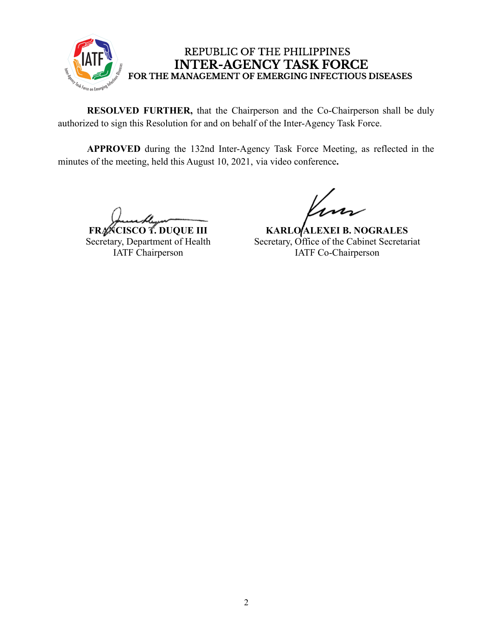

## REPUBLIC OF THE PHILIPPINES **INTER-AGENCY TASK FORCE** FOR THE MANAGEMENT OF EMERGING INFECTIOUS DISEASES

**RESOLVED FURTHER,** that the Chairperson and the Co-Chairperson shall be duly authorized to sign this Resolution for and on behalf of the Inter-Agency Task Force.

**APPROVED** during the 132nd Inter-Agency Task Force Meeting, as reflected in the minutes of the meeting, held this August 10, 2021, via video conference**.**

**FRANCISCO T. DUQUE III** Secretary, Department of Health IATF Chairperson

**KARLO ALEXEI B. NOGRALES** Secretary, Office of the Cabinet Secretariat IATF Co-Chairperson